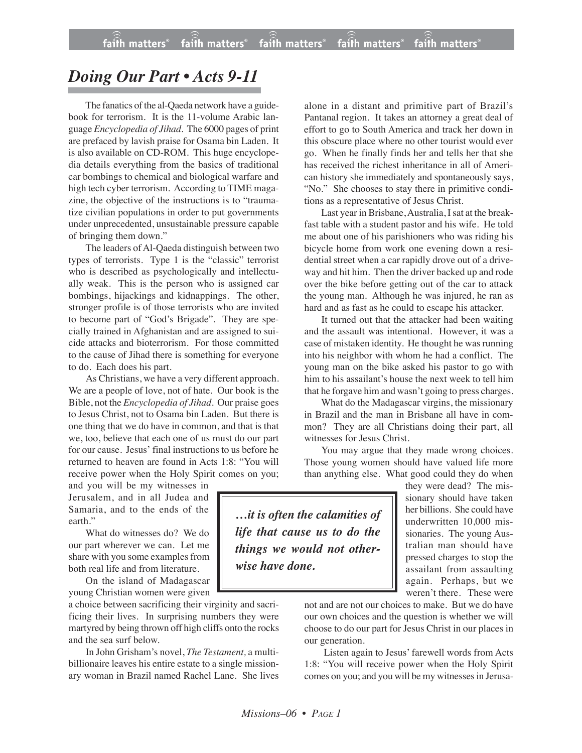## *Doing Our Part • Acts 9-11*

The fanatics of the al-Qaeda network have a guidebook for terrorism. It is the 11-volume Arabic language *Encyclopedia of Jihad*. The 6000 pages of print are prefaced by lavish praise for Osama bin Laden. It is also available on CD-ROM. This huge encyclopedia details everything from the basics of traditional car bombings to chemical and biological warfare and high tech cyber terrorism. According to TIME magazine, the objective of the instructions is to "traumatize civilian populations in order to put governments under unprecedented, unsustainable pressure capable of bringing them down."

The leaders of Al-Qaeda distinguish between two types of terrorists. Type 1 is the "classic" terrorist who is described as psychologically and intellectually weak. This is the person who is assigned car bombings, hijackings and kidnappings. The other, stronger profile is of those terrorists who are invited to become part of "God's Brigade". They are specially trained in Afghanistan and are assigned to suicide attacks and bioterrorism. For those committed to the cause of Jihad there is something for everyone to do. Each does his part.

As Christians, we have a very different approach. We are a people of love, not of hate. Our book is the Bible, not the *Encyclopedia of Jihad*. Our praise goes to Jesus Christ, not to Osama bin Laden. But there is one thing that we do have in common, and that is that we, too, believe that each one of us must do our part for our cause. Jesus' final instructions to us before he returned to heaven are found in Acts 1:8: "You will receive power when the Holy Spirit comes on you;

and you will be my witnesses in Jerusalem, and in all Judea and Samaria, and to the ends of the earth."

What do witnesses do? We do our part wherever we can. Let me share with you some examples from both real life and from literature.

On the island of Madagascar young Christian women were given

a choice between sacrificing their virginity and sacrificing their lives. In surprising numbers they were martyred by being thrown off high cliffs onto the rocks and the sea surf below.

In John Grisham's novel, *The Testament,* a multibillionaire leaves his entire estate to a single missionary woman in Brazil named Rachel Lane. She lives

alone in a distant and primitive part of Brazil's Pantanal region. It takes an attorney a great deal of effort to go to South America and track her down in this obscure place where no other tourist would ever go. When he finally finds her and tells her that she has received the richest inheritance in all of American history she immediately and spontaneously says, "No." She chooses to stay there in primitive conditions as a representative of Jesus Christ.

Last year in Brisbane,Australia, I sat at the breakfast table with a student pastor and his wife. He told me about one of his parishioners who was riding his bicycle home from work one evening down a residential street when a car rapidly drove out of a driveway and hit him. Then the driver backed up and rode over the bike before getting out of the car to attack the young man. Although he was injured, he ran as hard and as fast as he could to escape his attacker.

It turned out that the attacker had been waiting and the assault was intentional. However, it was a case of mistaken identity. He thought he was running into his neighbor with whom he had a conflict. The young man on the bike asked his pastor to go with him to his assailant's house the next week to tell him that he forgave him and wasn't going to press charges.

What do the Madagascar virgins, the missionary in Brazil and the man in Brisbane all have in common? They are all Christians doing their part, all witnesses for Jesus Christ.

You may argue that they made wrong choices. Those young women should have valued life more than anything else. What good could they do when

*…it is often the calamities of life that cause us to do the things we would not otherwise have done.*

they were dead? The missionary should have taken her billions. She could have underwritten 10,000 missionaries. The young Australian man should have pressed charges to stop the assailant from assaulting again. Perhaps, but we weren't there. These were

not and are not our choices to make. But we do have our own choices and the question is whether we will choose to do our part for Jesus Christ in our places in our generation.

 Listen again to Jesus' farewell words from Acts 1:8: "You will receive power when the Holy Spirit comes on you; and you will be my witnessesin Jerusa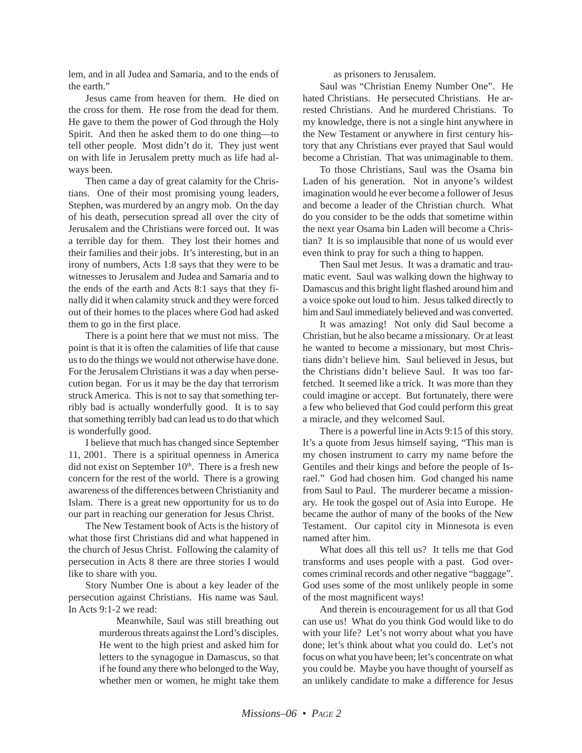lem, and in all Judea and Samaria, and to the ends of the earth."

Jesus came from heaven for them. He died on the cross for them. He rose from the dead for them. He gave to them the power of God through the Holy Spirit. And then he asked them to do one thing—to tell other people. Most didn't do it. They just went on with life in Jerusalem pretty much as life had always been.

Then came a day of great calamity for the Christians. One of their most promising young leaders, Stephen, was murdered by an angry mob. On the day of his death, persecution spread all over the city of Jerusalem and the Christians were forced out. It was a terrible day for them. They lost their homes and their families and their jobs. It's interesting, but in an irony of numbers, Acts 1:8 says that they were to be witnesses to Jerusalem and Judea and Samaria and to the ends of the earth and Acts 8:1 says that they finally did it when calamity struck and they were forced out of their homes to the places where God had asked them to go in the first place.

There is a point here that we must not miss. The point is that it is often the calamities of life that cause us to do the things we would not otherwise have done. For the Jerusalem Christians it was a day when persecution began. For us it may be the day that terrorism struck America. This is not to say that something terribly bad is actually wonderfully good. It is to say that something terribly bad can lead us to do that which is wonderfully good.

I believe that much has changed since September 11, 2001. There is a spiritual openness in America did not exist on September 10<sup>th</sup>. There is a fresh new concern for the rest of the world. There is a growing awareness of the differences between Christianity and Islam. There is a great new opportunity for us to do our part in reaching our generation for Jesus Christ.

The New Testament book of Acts is the history of what those first Christians did and what happened in the church of Jesus Christ. Following the calamity of persecution in Acts 8 there are three stories I would like to share with you.

Story Number One is about a key leader of the persecution against Christians. His name was Saul. In Acts 9:1-2 we read:

> Meanwhile, Saul was still breathing out murderous threats against the Lord's disciples. He went to the high priest and asked him for letters to the synagogue in Damascus, so that if he found any there who belonged to the Way, whether men or women, he might take them

as prisoners to Jerusalem.

Saul was "Christian Enemy Number One". He hated Christians. He persecuted Christians. He arrested Christians. And he murdered Christians. To my knowledge, there is not a single hint anywhere in the New Testament or anywhere in first century history that any Christians ever prayed that Saul would become a Christian. That was unimaginable to them.

To those Christians, Saul was the Osama bin Laden of his generation. Not in anyone's wildest imagination would he ever become a follower of Jesus and become a leader of the Christian church. What do you consider to be the odds that sometime within the next year Osama bin Laden will become a Christian? It is so implausible that none of us would ever even think to pray for such a thing to happen.

Then Saul met Jesus. It was a dramatic and traumatic event. Saul was walking down the highway to Damascus and this bright light flashed around him and a voice spoke out loud to him. Jesus talked directly to him and Saul immediately believed and was converted.

It was amazing! Not only did Saul become a Christian, but he also became a missionary. Or at least he wanted to become a missionary, but most Christians didn't believe him. Saul believed in Jesus, but the Christians didn't believe Saul. It was too farfetched. It seemed like a trick. It was more than they could imagine or accept. But fortunately, there were a few who believed that God could perform this great a miracle, and they welcomed Saul.

There is a powerful line in Acts 9:15 of this story. It's a quote from Jesus himself saying, "This man is my chosen instrument to carry my name before the Gentiles and their kings and before the people of Israel." God had chosen him. God changed his name from Saul to Paul. The murderer became a missionary. He took the gospel out of Asia into Europe. He became the author of many of the books of the New Testament. Our capitol city in Minnesota is even named after him.

What does all this tell us? It tells me that God transforms and uses people with a past. God overcomes criminal records and other negative "baggage". God uses some of the most unlikely people in some of the most magnificent ways!

And therein is encouragement for us all that God can use us! What do you think God would like to do with your life? Let's not worry about what you have done; let's think about what you could do. Let's not focus on what you have been; let's concentrate on what you could be. Maybe you have thought of yourself as an unlikely candidate to make a difference for Jesus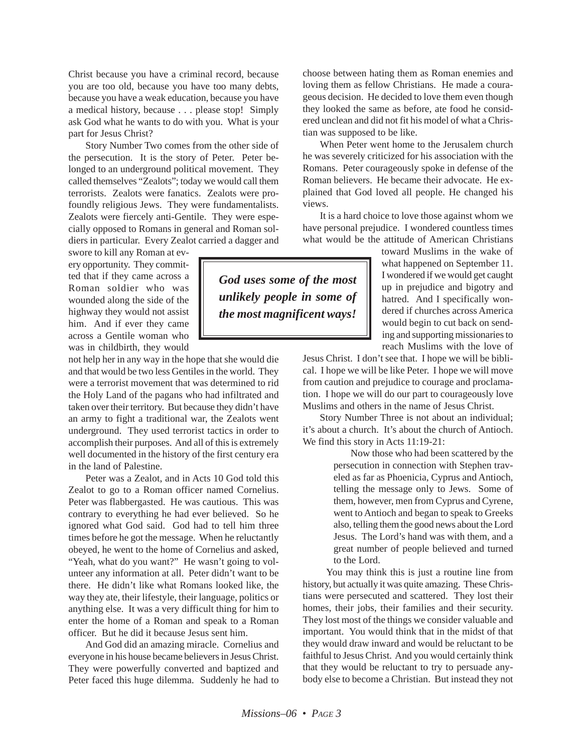Christ because you have a criminal record, because you are too old, because you have too many debts, because you have a weak education, because you have a medical history, because . . . please stop! Simply ask God what he wants to do with you. What is your part for Jesus Christ?

Story Number Two comes from the other side of the persecution. It is the story of Peter. Peter belonged to an underground political movement. They called themselves "Zealots"; today we would call them terrorists. Zealots were fanatics. Zealots were profoundly religious Jews. They were fundamentalists. Zealots were fiercely anti-Gentile. They were especially opposed to Romans in general and Roman soldiers in particular. Every Zealot carried a dagger and

swore to kill any Roman at every opportunity. They committed that if they came across a Roman soldier who was wounded along the side of the highway they would not assist him. And if ever they came across a Gentile woman who was in childbirth, they would

not help her in any way in the hope that she would die and that would be two less Gentiles in the world. They were a terrorist movement that was determined to rid the Holy Land of the pagans who had infiltrated and taken over their territory. But because they didn't have an army to fight a traditional war, the Zealots went underground. They used terrorist tactics in order to accomplish their purposes. And all of this is extremely well documented in the history of the first century era in the land of Palestine.

Peter was a Zealot, and in Acts 10 God told this Zealot to go to a Roman officer named Cornelius. Peter was flabbergasted. He was cautious. This was contrary to everything he had ever believed. So he ignored what God said. God had to tell him three times before he got the message. When he reluctantly obeyed, he went to the home of Cornelius and asked, "Yeah, what do you want?" He wasn't going to volunteer any information at all. Peter didn't want to be there. He didn't like what Romans looked like, the way they ate, their lifestyle, their language, politics or anything else. It was a very difficult thing for him to enter the home of a Roman and speak to a Roman officer. But he did it because Jesus sent him.

And God did an amazing miracle. Cornelius and everyone in his house became believers in Jesus Christ. They were powerfully converted and baptized and Peter faced this huge dilemma. Suddenly he had to choose between hating them as Roman enemies and loving them as fellow Christians. He made a courageous decision. He decided to love them even though they looked the same as before, ate food he considered unclean and did not fit his model of what a Christian was supposed to be like.

When Peter went home to the Jerusalem church he was severely criticized for his association with the Romans. Peter courageously spoke in defense of the Roman believers. He became their advocate. He explained that God loved all people. He changed his views.

It is a hard choice to love those against whom we have personal prejudice. I wondered countless times what would be the attitude of American Christians

> toward Muslims in the wake of what happened on September 11. I wondered if we would get caught up in prejudice and bigotry and hatred. And I specifically wondered if churches across America would begin to cut back on sending and supporting missionaries to reach Muslims with the love of

Jesus Christ. I don't see that. I hope we will be biblical. I hope we will be like Peter. I hope we will move from caution and prejudice to courage and proclamation. I hope we will do our part to courageously love Muslims and others in the name of Jesus Christ.

Story Number Three is not about an individual; it's about a church. It's about the church of Antioch. We find this story in Acts 11:19-21:

> Now those who had been scattered by the persecution in connection with Stephen traveled as far as Phoenicia, Cyprus and Antioch, telling the message only to Jews. Some of them, however, men from Cyprus and Cyrene, went to Antioch and began to speak to Greeks also, telling them the good news about the Lord Jesus. The Lord's hand was with them, and a great number of people believed and turned to the Lord.

You may think this is just a routine line from history, but actually it was quite amazing. These Christians were persecuted and scattered. They lost their homes, their jobs, their families and their security. They lost most of the things we consider valuable and important. You would think that in the midst of that they would draw inward and would be reluctant to be faithful to Jesus Christ. And you would certainly think that they would be reluctant to try to persuade anybody else to become a Christian. But instead they not

*God uses some of the most unlikely people in some of the most magnificent ways!*